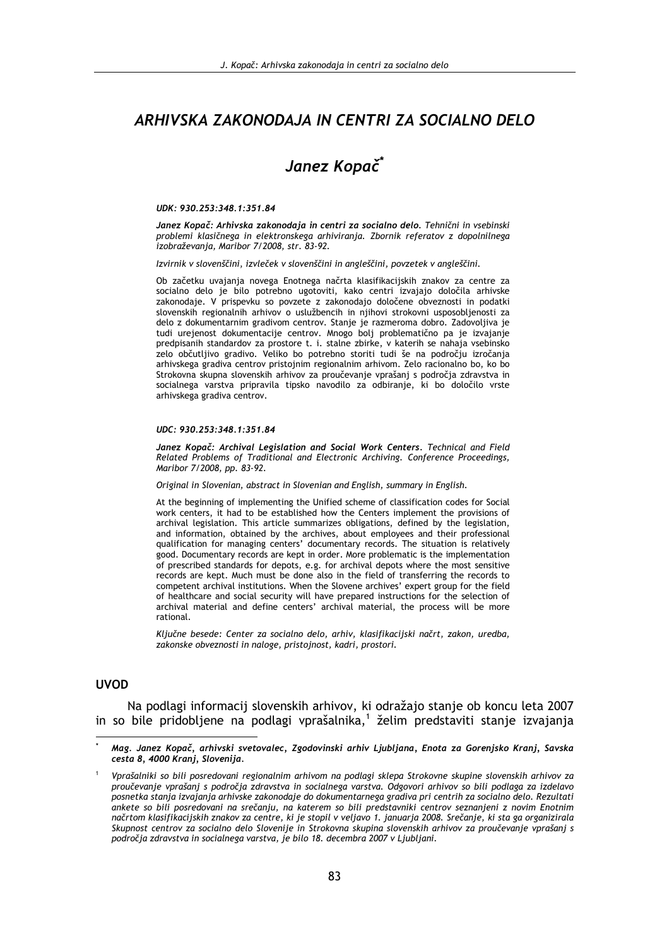# ARHIVSKA ZAKONODAJA IN CENTRI ZA SOCIALNO DELO

# Janez Kopač<sup>\*</sup>

#### UDK: 930.253:348.1:351.84

Janez Kopač: Arhivska zakonodaja in centri za socialno delo. Tehnični in vsebinski problemi klasičnega in elektronskega arhiviranja. Zbornik referatov z dopolnilnega izobraževania, Maribor 7/2008, str. 83-92.

Izvirnik v slovenščini, izvleček v slovenščini in angleščini, povzetek v angleščini.

Ob začetku uvajanja novega Enotnega načrta klasifikacijskih znakov za centre za socialno delo je bilo potrebno ugotoviti, kako centri izvajajo določila arhivske zakonodaje. V prispevku so povzete z zakonodajo določene obveznosti in podatki slovenskih regionalnih arhivov o uslužbencih in njihovi strokovni usposobljenosti za delo z dokumentarnim gradivom centrov. Stanje je razmeroma dobro. Zadovoljiva je tudi urejenost dokumentacije centrov. Mnogo bolj problematično pa je izvajanje predpisanih standardov za prostore t. i. stalne zbirke, v katerih se nahaja vsebinsko zelo občutljivo gradivo. Veliko bo potrebno storiti tudi še na področju izročanja arhivskega gradiva centrov pristojnim regionalnim arhivom. Zelo racionalno bo, ko bo Strokovna skupna slovenskih arhivov za proučevanje vprašanj s področja zdravstva in socialnega varstva pripravila tipsko navodilo za odbiranje, ki bo določilo vrste arhivskega gradiva centrov.

#### UDC: 930.253:348.1:351.84

Janez Kopač: Archival Legislation and Social Work Centers. Technical and Field Related Problems of Traditional and Electronic Archiving. Conference Proceedings, Maribor 7/2008, pp. 83-92.

Original in Slovenian, abstract in Slovenian and English, summary in English.

At the beginning of implementing the Unified scheme of classification codes for Social work centers, it had to be established how the Centers implement the provisions of archival legislation. This article summarizes obligations, defined by the legislation, and information, obtained by the archives, about employees and their professional qualification for managing centers' documentary records. The situation is relatively good. Documentary records are kept in order. More problematic is the implementation of prescribed standards for depots, e.g. for archival depots where the most sensitive records are kept. Much must be done also in the field of transferring the records to competent archival institutions. When the Slovene archives' expert group for the field of healthcare and social security will have prepared instructions for the selection of archival material and define centers' archival material, the process will be more rational.

Ključne besede: Center za socialno delo, arhiv, klasifikacijski načrt, zakon, uredba, zakonske obveznosti in naloge, pristojnost, kadri, prostori.

#### **UVOD**

Na podlagi informacij slovenskih arhivov, ki odražajo stanje ob koncu leta 2007 in so bile pridobliene na podlagi vprašalnika.<sup>1</sup> želim predstaviti stanie izvajanja

Mag. Janez Kopač, arhivski svetovalec, Zgodovinski arhiv Liubliana, Enota za Gorenisko Krani, Savska cesta 8, 4000 Kranj, Slovenija.

Vprašalniki so bili posredovani regionalnim arhivom na podlagi sklepa Strokovne skupine slovenskih arhivov za proučevanje vprašanj s področja zdravstva in socialnega varstva. Odgovori arhivov so bili podlaga za izdelavo posnetka stanja izvajanja arhivske zakonodaje do dokumentarnega gradiva pri centrih za socialno delo. Rezultati ankete so bili posredovani na srečanju, na katerem so bili predstavniki centrov seznanjeni z novim Enotnim načrtom klasifikacijskih znakov za centre, ki je stopil v veljavo 1. januarja 2008. Srečanje, ki sta ga organizirala Skupnost centrov za socialno delo Slovenije in Strokovna skupina slovenskih arhivov za proučevanje vprašanj s področja zdravstva in socialnega varstva, je bilo 18. decembra 2007 v Ljubljani.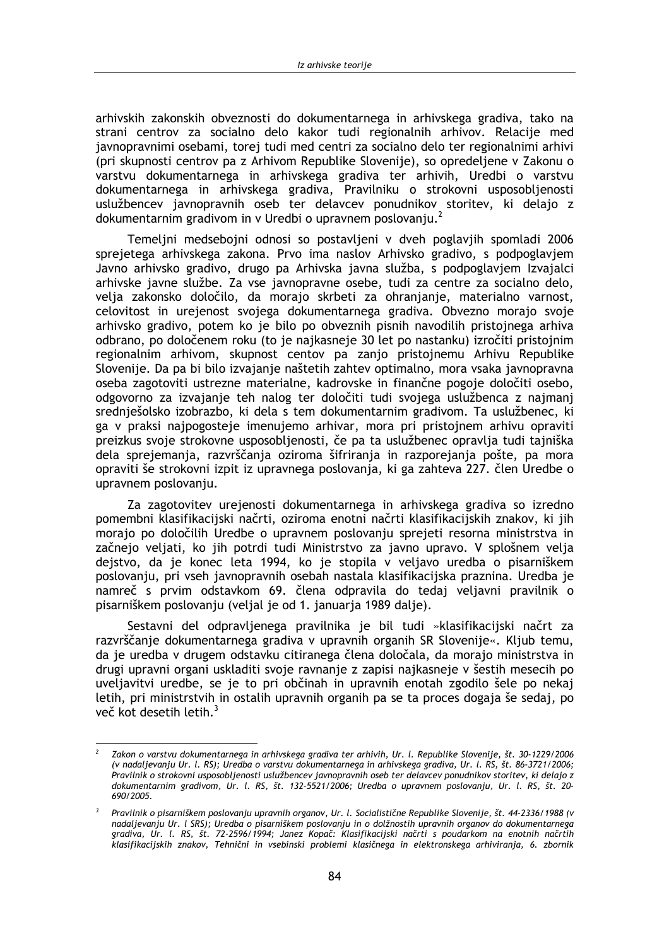arhivskih zakonskih obveznosti do dokumentarnega in arhivskega gradiva, tako na strani centrov za socialno delo kakor tudi regionalnih arhivov. Relacije med javnopravnimi osebami, torej tudi med centri za socialno delo ter regionalnimi arhivi (pri skupnosti centrov pa z Arhivom Republike Slovenije), so opredeljene v Zakonu o varstvu dokumentarnega in arhivskega gradiva ter arhivih, Uredbi o varstvu dokumentarnega in arhivskega gradiva, Pravilniku o strokovni usposobljenosti uslužbencev javnopravnih oseb ter delavcev ponudnikov storitev, ki delajo z dokumentarnim gradivom in v Uredbi o upravnem poslovanju.<sup>2</sup>

Temeljni medsebojni odnosi so postavljeni v dveh poglavjih spomladi 2006 sprejetega arhivskega zakona. Prvo ima naslov Arhivsko gradivo, s podpoglavjem Javno arhivsko gradivo, drugo pa Arhivska javna služba, s podpoglavjem Izvajalci arhivske javne službe. Za vse javnopravne osebe, tudi za centre za socialno delo, velja zakonsko določilo, da morajo skrbeti za ohranjanje, materialno varnost, celovitost in urejenost svojega dokumentarnega gradiva. Obvezno morajo svoje arhivsko gradivo, potem ko je bilo po obveznih pisnih navodilih pristojnega arhiva odbrano, po določenem roku (to je najkasneje 30 let po nastanku) izročiti pristojnim regionalnim arhivom, skupnost centov pa zanjo pristojnemu Arhivu Republike Slovenije. Da pa bi bilo izvajanje naštetih zahtev optimalno, mora vsaka javnopravna oseba zagotoviti ustrezne materialne, kadrovske in finančne pogoje določiti osebo, odgovorno za izvajanje teh nalog ter določiti tudi svojega uslužbenca z najmanj srednješolsko izobrazbo, ki dela s tem dokumentarnim gradivom. Ta uslužbenec, ki ga v praksi najpogosteje imenujemo arhivar, mora pri pristojnem arhivu opraviti preizkus svoje strokovne usposobljenosti, če pa ta uslužbenec opravlja tudi tajniška dela sprejemanja, razvrščanja oziroma šifriranja in razporejanja pošte, pa mora opraviti še strokovni izpit iz upravnega poslovanja, ki ga zahteva 227. člen Uredbe o upravnem poslovanju.

Za zagotovitev urejenosti dokumentarnega in arhivskega gradiva so izredno pomembni klasifikacijski načrti, oziroma enotni načrti klasifikacijskih znakov, ki jih morajo po določilih Uredbe o upravnem poslovanju sprejeti resorna ministrstva in začnejo veljati, ko jih potrdi tudi Ministrstvo za javno upravo. V splošnem velja dejstvo, da je konec leta 1994, ko je stopila v veljavo uredba o pisarniškem poslovanju, pri vseh javnopravnih osebah nastala klasifikacijska praznina. Uredba je namreč s prvim odstavkom 69. člena odpravila do tedaj veljavni pravilnik o pisarniškem poslovanju (veljal je od 1. januarja 1989 dalje).

Sestavni del odpravljenega pravilnika je bil tudi »klasifikacijski načrt za razvrščanje dokumentarnega gradiva v upravnih organih SR Slovenije«. Kljub temu, da je uredba v drugem odstavku citiranega člena določala, da morajo ministrstva in drugi upravni organi uskladiti svoje ravnanje z zapisi najkasneje v šestih mesecih po uveliavitvi uredbe, se je to pri občinah in upravnih enotah zgodilo šele po nekaj letih, pri ministrstvih in ostalih upravnih organih pa se ta proces dogaja še sedaj, po več kot desetih letih.<sup>3</sup>

Zakon o varstvu dokumentarnega in arhivskega gradiva ter arhivih. Ur. I. Republike Slovenije, št. 30-1229/2006 (v nadaljevanju Ur. l. RS); Uredba o varstvu dokumentarnega in arhivskega gradiva, Ur. l. RS, št. 86-3721/2006; Pravilnik o strokovni usposobljenosti uslužbencev javnopravnih oseb ter delavcev ponudnikov storitev, ki delajo z dokumentarnim gradivom, Ur. I. RS, št. 132-5521/2006; Uredba o upravnem poslovanju, Ur. I. RS, št. 20-690/2005

<sup>&</sup>lt;sup>3</sup> Pravilnik o pisarniškem poslovanju upravnih organov, Ur. l. Socialistične Republike Slovenije, št. 44-2336/1988 (v nadaljevanju Ur. l SRS); Uredba o pisarniškem poslovanju in o dolžnostih upravnih organov do dokumentarnega gradiva, Ur. l. RS, št. 72-2596/1994; Janez Kopač: Klasifikacijski načrti s poudarkom na enotnih načrtih klasifikacijskih znakov, Tehnični in vsebinski problemi klasičnega in elektronskega arhiviranja, 6. zbornik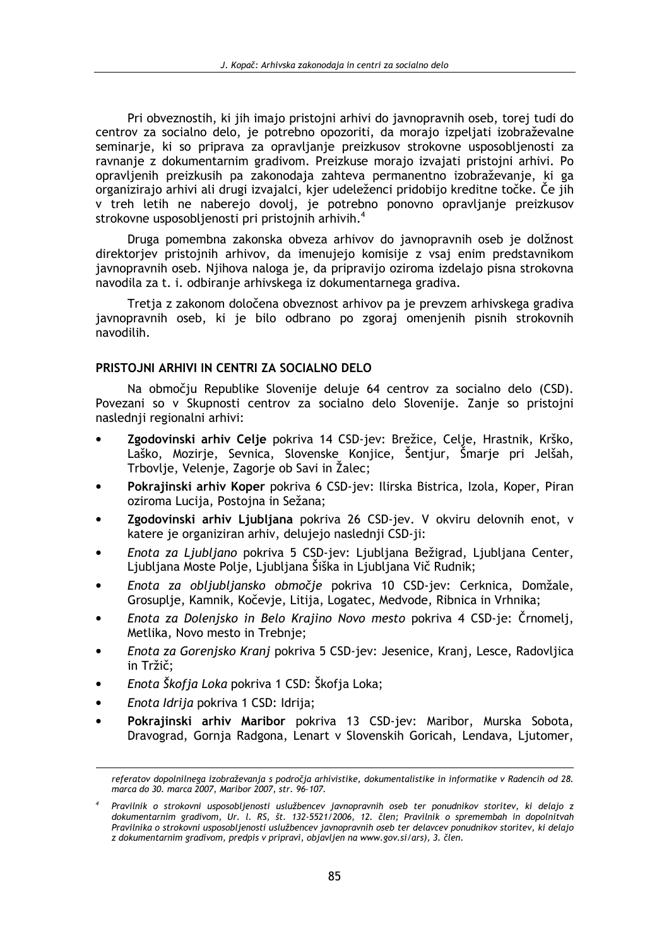Pri obveznostih, ki jih imajo pristojni arhivi do javnopravnih oseb, torej tudi do centrov za socialno delo, je potrebno opozoriti, da morajo izpeliati izobraževalne seminarje, ki so priprava za opravljanje preizkusov strokovne usposobljenosti za ravnanje z dokumentarnim gradivom. Preizkuse morajo izvajati pristojni arhivi. Po opravljenih preizkusih pa zakonodaja zahteva permanentno izobraževanje, ki ga organizirajo arhivi ali drugi izvajalci, kjer udeleženci pridobijo kreditne točke. Če jih v treh letih ne naberejo dovolj, je potrebno ponovno opravljanje preizkusov strokovne usposobljenosti pri pristojnih arhivih.<sup>4</sup>

Druga pomembna zakonska obveza arhivov do javnopravnih oseb je dolžnost direktorjev pristojnih arhivov, da imenujejo komisije z vsaj enim predstavnikom javnopravnih oseb. Njihova naloga je, da pripravijo oziroma izdelajo pisna strokovna navodila za t. i. odbiranje arhivskega iz dokumentarnega gradiva.

Tretja z zakonom določena obveznost arhivov pa je prevzem arhivskega gradiva javnopravnih oseb, ki je bilo odbrano po zgoraj omenjenih pisnih strokovnih navodilih.

#### PRISTOJNI ARHIVI IN CENTRI ZA SOCIALNO DELO

Na območiu Republike Slovenije deluje 64 centrov za socialno delo (CSD). Povezani so v Skupnosti centrov za socialno delo Slovenije. Zanje so pristojni naslednji regionalni arhivi:

- Zgodovinski arhiv Celje pokriva 14 CSD-jev: Brežice, Celje, Hrastnik, Krško, Laško, Mozirje, Sevnica, Slovenske Konjice, Šentjur, Šmarje pri Jelšah, Trbovlje, Velenje, Zagorje ob Savi in Žalec;
- Pokrajinski arhiv Koper pokriva 6 CSD-jev: Ilirska Bistrica, Izola, Koper, Piran oziroma Lucija, Postojna in Sežana;
- Zgodovinski arhiv Ljubljana pokriva 26 CSD-jev. V okviru delovnih enot, v katere je organiziran arhiv, delujejo naslednji CSD-ji:
- Enota za Ljubljano pokriva 5 CSD-jev: Ljubljana Bežigrad, Ljubljana Center, Liubliana Moste Polie, Liubliana Šiška in Liubliana Vič Rudnik;
- Enota za obljubljansko območje pokriva 10 CSD-jev: Cerknica, Domžale, Grosuplje, Kamnik, Kočevje, Litija, Logatec, Medvode, Ribnica in Vrhnika;
- Enota za Dolenisko in Belo Kraiino Novo mesto pokriva 4 CSD-je: Črnomeli, Metlika, Novo mesto in Trebnje;
- Enota za Gorenjsko Kranj pokriva 5 CSD-jev: Jesenice, Kranj, Lesce, Radovljica in Tržič:
- Enota Škofia Loka pokriva 1 CSD: Škofia Loka:
- Enota Idrija pokriva 1 CSD: Idrija;  $\blacktriangle$
- Pokrajinski arhiv Maribor pokriva 13 CSD-jev: Maribor, Murska Sobota, Dravograd, Gornja Radgona, Lenart v Slovenskih Goricah, Lendava, Ljutomer,

referatov dopolnilnega izobraževanja s področja arhivistike, dokumentalistike in informatike v Radencih od 28. marca do 30. marca 2007, Maribor 2007, str. 96-107.

<sup>4</sup> Pravilnik o strokovni usposobljenosti uslužbencev javnopravnih oseb ter ponudnikov storitev, ki delajo z dokumentarnim gradivom, Ur. I. RS, št. 132-5521/2006, 12. člen; Pravilnik o spremembah in dopolnitvah Pravilnika o strokovni usposobljenosti uslužbencev javnopravnih oseb ter delavcev ponudnikov storitev, ki delajo z dokumentarnim gradivom, predpis v pripravi, objavljen na www.gov.si/ars), 3. člen.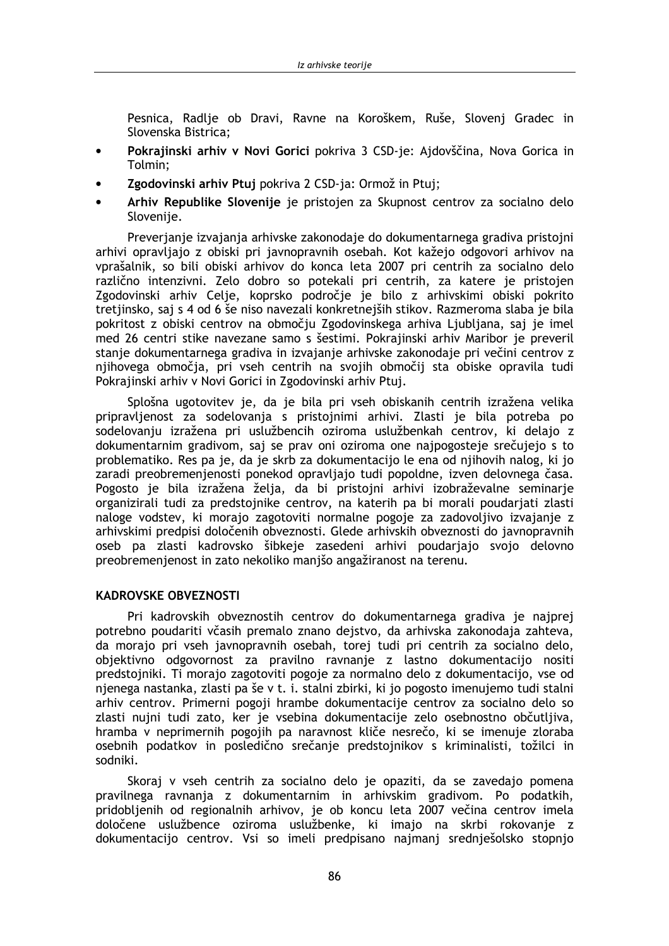Pesnica, Radlie ob Dravi, Ravne na Koroškem, Ruše, Sloveni Gradec in Slovenska Bistrica:

- Pokrajinski arhiv v Novi Gorici pokriva 3 CSD-je: Ajdovščina, Nova Gorica in  $\bullet$ Tolmin:
- Zgodovinski arhiv Ptuj pokriva 2 CSD-ja: Ormož in Ptuj;
- Arhiv Republike Slovenije je pristojen za Skupnost centrov za socialno delo Slovenije.

Preverjanje izvajanja arhivske zakonodaje do dokumentarnega gradiva pristojni arhivi opravljajo z obiski pri javnopravnih osebah. Kot kažejo odgovori arhivov na vprašalnik, so bili obiski arhivov do konca leta 2007 pri centrih za socialno delo različno intenzivni. Zelo dobro so potekali pri centrih, za katere je pristojen Zgodovinski arhiv Celje, koprsko področje je bilo z arhivskimi obiski pokrito tretjinsko, saj s 4 od 6 še niso navezali konkretnejših stikov. Razmeroma slaba je bila pokritost z obiski centrov na območju Zgodovinskega arhiva Ljubljana, saj je imel med 26 centri stike navezane samo s šestimi. Pokrajinski arhiv Maribor je preveril stanje dokumentarnega gradiva in izvajanje arhivske zakonodaje pri večini centrov z njihovega območja, pri vseh centrih na svojih območij sta obiske opravila tudi Pokrajinski arhiv v Novi Gorici in Zgodovinski arhiv Ptuj.

Splošna ugotovitev je, da je bila pri vseh obiskanih centrih izražena velika pripravljenost za sodelovanja s pristojnimi arhivi. Zlasti je bila potreba po sodelovanju izražena pri uslužbencih oziroma uslužbenkah centrov, ki delajo z dokumentarnim gradivom, saj se prav oni oziroma one najpogosteje srečujejo s to problematiko. Res pa je, da je skrb za dokumentacijo le ena od njihovih nalog, ki jo zaradi preobremenjenosti ponekod opravljajo tudi popoldne, izven delovnega časa. Pogosto je bila izražena želja, da bi pristojni arhivi izobraževalne seminarje organizirali tudi za predstojnike centrov, na katerih pa bi morali poudarjati zlasti naloge vodstev, ki morajo zagotoviti normalne pogoje za zadovoljivo izvajanje z arhivskimi predpisi določenih obveznosti. Glede arhivskih obveznosti do javnopravnih oseb pa zlasti kadrovsko šibkeje zasedeni arhivi poudarjajo svojo delovno preobremenienost in zato nekoliko manišo angažiranost na terenu.

#### **KADROVSKE OBVEZNOSTI**

Pri kadrovskih obveznostih centrov do dokumentarnega gradiva je najprej potrebno poudariti včasih premalo znano dejstvo, da arhivska zakonodaja zahteva, da morajo pri vseh javnopravnih osebah, torej tudi pri centrih za socialno delo, objektivno odgovornost za pravilno ravnanje z lastno dokumentacijo nositi predstojniki. Ti morajo zagotoviti pogoje za normalno delo z dokumentacijo, vse od njenega nastanka, zlasti pa še v t. i. stalni zbirki, ki jo pogosto imenujemo tudi stalni arhiv centrov. Primerni pogoji hrambe dokumentacije centrov za socialno delo so zlasti nujni tudi zato, ker je vsebina dokumentacije zelo osebnostno občutljiva, hramba v neprimernih pogojih pa naravnost kliče nesrečo, ki se imenuje zloraba osebnih podatkov in posledično srečanje predstojnikov s kriminalisti, tožilci in sodniki.

Skoraj v vseh centrih za socialno delo je opaziti, da se zavedajo pomena pravilnega ravnanja z dokumentarnim in arhivskim gradivom. Po podatkih, pridoblienih od regionalnih arhivov, je ob koncu leta 2007 večina centrov imela določene uslužbence oziroma uslužbenke, ki imajo na skrbi rokovanje z dokumentacijo centrov. Vsi so imeli predpisano najmanj srednješolsko stopnjo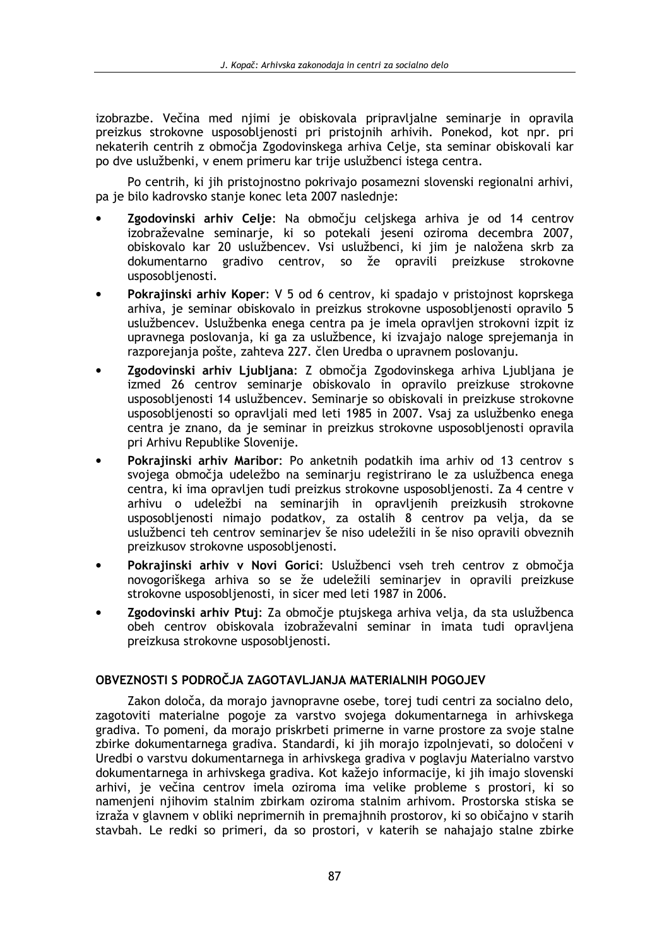izobrazbe. Večina med nijmi je obiskovala pripravljalne seminarje in opravila preizkus strokovne usposoblienosti pri pristojnih arhivih. Ponekod, kot npr. pri nekaterih centrih z območia Zgodovinskega arhiva Celie, sta seminar obiskovali kar po dve uslužbenki, v enem primeru kar trije uslužbenci istega centra.

Po centrih, ki jih pristojnostno pokrivajo posamezni slovenski regionalni arhivi, pa je bilo kadrovsko stanje konec leta 2007 naslednje:

- Zgodovinski arhiv Celje: Na območju celjskega arhiva je od 14 centrov izobraževalne seminarje, ki so potekali jeseni oziroma decembra 2007, obiskovalo kar 20 uslužbencev. Vsi uslužbenci, ki jim je naložena skrb za dokumentarno gradivo centrov, so že opravili preizkuse strokovne usposobljenosti.
- Pokrajinski arhiv Koper: V 5 od 6 centrov, ki spadajo v pristojnost koprskega arhiva, je seminar obiskovalo in preizkus strokovne usposobljenosti opravilo 5 uslužbencev. Uslužbenka enega centra pa je imela opravljen strokovni izpit iz upravnega poslovanja, ki ga za uslužbence, ki izvajajo naloge sprejemanja in razporejanja pošte, zahteva 227. člen Uredba o upravnem poslovanju.
- Zgodovinski arhiv Ljubljana: Z območja Zgodovinskega arhiva Ljubljana je izmed 26 centrov seminarje obiskovalo in opravilo preizkuse strokovne usposobljenosti 14 uslužbencev. Seminarje so obiskovali in preizkuse strokovne usposobljenosti so opravljali med leti 1985 in 2007. Vsaj za uslužbenko enega centra je znano, da je seminar in preizkus strokovne usposobljenosti opravila pri Arhivu Republike Slovenije.
- Pokrajinski arhiv Maribor: Po anketnih podatkih ima arhiv od 13 centrov s svojega območja udeležbo na seminarju registrirano le za uslužbenca enega centra, ki ima opravljen tudi preizkus strokovne usposobljenosti. Za 4 centre v arhivu o udeležbi na seminarjih in opravljenih preizkusih strokovne usposobljenosti nimajo podatkov, za ostalih 8 centrov pa velja, da se uslužbenci teh centrov seminarjev še niso udeležili in še niso opravili obveznih preizkusov strokovne usposobljenosti.
- Pokrajinski arhiv v Novi Gorici: Uslužbenci vseh treh centrov z območja novogoriškega arhiva so se že udeležili seminarjev in opravili preizkuse strokovne usposobljenosti, in sicer med leti 1987 in 2006.
- Zgodovinski arhiv Ptuj: Za območje ptujskega arhiva velja, da sta uslužbenca obeh centrov obiskovala izobraževalni seminar in imata tudi opravljena preizkusa strokovne usposobljenosti.

## OBVEZNOSTI S PODROČJA ZAGOTAVLJANJA MATERIALNIH POGOJEV

Zakon določa, da morajo javnopravne osebe, torej tudi centri za socialno delo, zagotoviti materialne pogoje za varstvo svojega dokumentarnega in arhivskega gradiva. To pomeni, da morajo priskrbeti primerne in varne prostore za svoje stalne zbirke dokumentarnega gradiva. Standardi, ki jih morajo izpolnjevati, so določeni v Uredbi o varstvu dokumentarnega in arhivskega gradiva v poglavju Materialno varstvo dokumentarnega in arhivskega gradiva. Kot kažejo informacije, ki jih imajo slovenski arhivi, je večina centrov imela oziroma ima velike probleme s prostori, ki so namenjeni njihovim stalnim zbirkam oziroma stalnim arhivom. Prostorska stiska se izraža v glavnem v obliki neprimernih in premajhnih prostorov, ki so običajno v starih stavbah. Le redki so primeri, da so prostori, v katerih se nahajajo stalne zbirke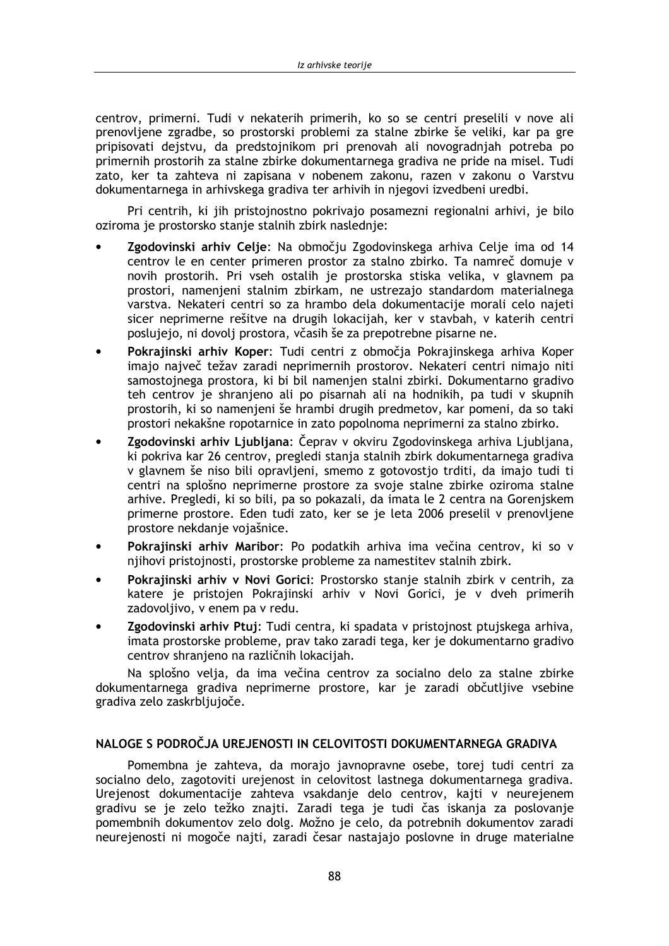centrov, primerni. Tudi v nekaterih primerih, ko so se centri preselili v nove ali prenovliene zgradbe, so prostorski problemi za stalne zbirke še veliki, kar pa gre pripisovati deistvu, da predstojnikom pri prenovah ali novogradniah potreba po primernih prostorih za stalne zbirke dokumentarnega gradiva ne pride na misel. Tudi zato, ker ta zahteva ni zapisana v nobenem zakonu, razen v zakonu o Varstvu dokumentarnega in arhivskega gradiva ter arhivih in njegovi izvedbeni uredbi.

Pri centrih, ki jih pristojnostno pokrivajo posamezni regionalni arhivi, je bilo oziroma je prostorsko stanje stalnih zbirk naslednje:

- Zgodovinski arhiv Celje: Na območju Zgodovinskega arhiva Celje ima od 14 centrov le en center primeren prostor za stalno zbirko. Ta namreč domuje v novih prostorih. Pri vseh ostalih je prostorska stiska velika, v glavnem pa prostori, namenjeni stalnim zbirkam, ne ustrezajo standardom materialnega varstva. Nekateri centri so za hrambo dela dokumentacije morali celo najeti sicer neprimerne rešitve na drugih lokacijah, ker v stavbah, v katerih centri poslujejo, ni dovolj prostora, včasih še za prepotrebne pisarne ne.
- Pokrajinski arhiv Koper: Tudi centri z območja Pokrajinskega arhiva Koper imajo največ težav zaradi neprimernih prostorov. Nekateri centri nimajo niti samostojnega prostora, ki bi bil namenjen stalni zbirki. Dokumentarno gradivo teh centrov je shranjeno ali po pisarnah ali na hodnikih, pa tudi v skupnih prostorih, ki so namenjeni še hrambi drugih predmetov, kar pomeni, da so taki prostori nekakšne ropotarnice in zato popolnoma neprimerni za stalno zbirko.
- Zgodovinski arhiv Ljubljana: Čeprav v okviru Zgodovinskega arhiva Ljubljana, ki pokriva kar 26 centrov, pregledi stanja stalnih zbirk dokumentarnega gradiva v glavnem še niso bili opravljeni, smemo z gotovostjo trditi, da imajo tudi ti centri na splošno neprimerne prostore za svoje stalne zbirke oziroma stalne arhive. Pregledi, ki so bili, pa so pokazali, da imata le 2 centra na Gorenjskem primerne prostore. Eden tudi zato, ker se je leta 2006 preselil v prenovljene prostore nekdanje vojašnice.
- Pokrajinski arhiv Maribor: Po podatkih arhiva ima večina centrov, ki so v njihovi pristojnosti, prostorske probleme za namestitev stalnih zbirk.
- Pokrajinski arhiv v Novi Gorici: Prostorsko stanje stalnih zbirk v centrih, za katere je pristojen Pokrajinski arhiv v Novi Gorici, je v dveh primerih zadovolijvo, v enem pa v redu.
- Zgodovinski arhiv Ptui: Tudi centra, ki spadata v pristojnost ptujskega arhiva, imata prostorske probleme, prav tako zaradi tega, ker je dokumentarno gradivo centrov shranjeno na različnih lokacijah.

Na splošno velja, da ima večina centrov za socialno delo za stalne zbirke dokumentarnega gradiva neprimerne prostore, kar je zaradi občutljive vsebine gradiva zelo zaskrbljujoče.

## NALOGE S PODROČJA UREJENOSTI IN CELOVITOSTI DOKUMENTARNEGA GRADIVA

Pomembna je zahteva, da morajo javnopravne osebe, torej tudi centri za socialno delo, zagotoviti urejenost in celovitost lastnega dokumentarnega gradiva. Urejenost dokumentacije zahteva vsakdanje delo centrov, kajti v neurejenem gradivu se je zelo težko znajti. Zaradi tega je tudi čas iskanja za poslovanje pomembnih dokumentov zelo dolg. Možno je celo, da potrebnih dokumentov zaradi neurejenosti ni mogoče najti, zaradi česar nastajajo poslovne in druge materialne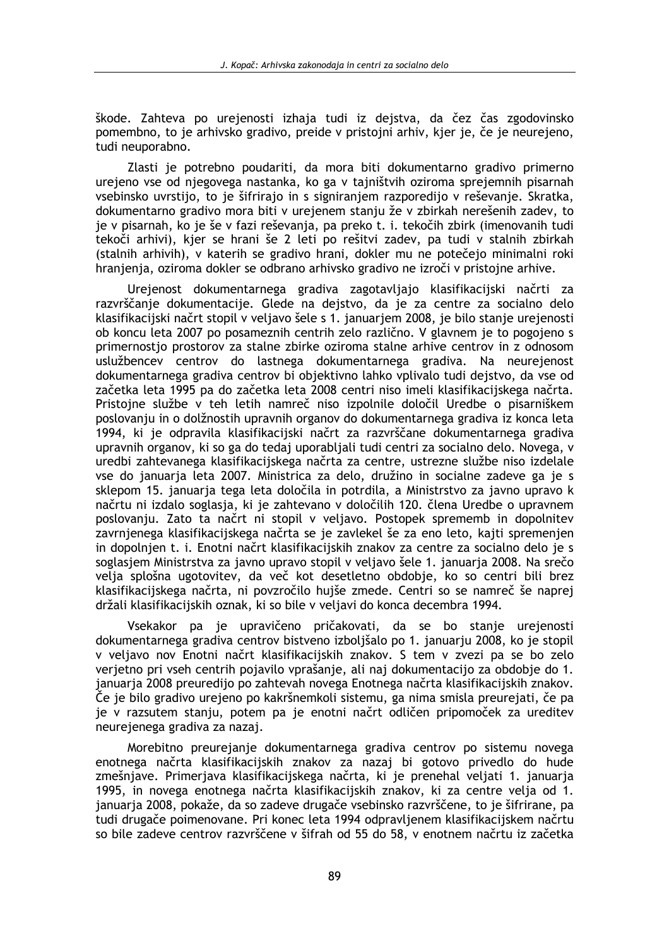škode. Zahteva po urejenosti izhaja tudi iz dejstva, da čez čas zgodovinsko pomembno, to je arhivsko gradivo, preide v pristojni arhiv, kier je, če je neurejeno, tudi neuporabno.

Zlasti je potrebno poudariti, da mora biti dokumentarno gradivo primerno urejeno vse od njegovega nastanka, ko ga v tajništvih oziroma sprejemnih pisarnah vsebinsko uvrstijo, to je šifrirajo in s signiranjem razporedijo v reševanje. Skratka, dokumentarno gradivo mora biti v urejenem stanju že v zbirkah nerešenih zadev, to je v pisarnah, ko je še v fazi reševanja, pa preko t. i. tekočih zbirk (imenovanih tudi tekoči arhivi), kjer se hrani še 2 leti po rešitvi zadev, pa tudi v stalnih zbirkah (stalnih arhivih), v katerih se gradivo hrani, dokler mu ne potečejo minimalni roki hranjenja, oziroma dokler se odbrano arhivsko gradivo ne izroči v pristojne arhive.

Urejenost dokumentarnega gradiva zagotavljajo klasifikacijski načrti za razvrščanje dokumentacije. Glede na dejstvo, da je za centre za socialno delo klasifikacijski načrt stopil v veljavo šele s 1. januarjem 2008, je bilo stanje urejenosti ob koncu leta 2007 po posameznih centrih zelo različno. V glavnem je to pogojeno s primernostio prostorov za stalne zbirke oziroma stalne arhive centrov in z odnosom uslužbencev centrov do lastnega dokumentarnega gradiva. Na neurejenost dokumentarnega gradiva centrov bi objektivno lahko vplivalo tudi dejstvo, da vse od začetka leta 1995 pa do začetka leta 2008 centri niso imeli klasifikacijskega načrta. Pristojne službe v teh letih namreč niso izpolnile določil Uredbe o pisarniškem poslovanju in o dolžnostih upravnih organov do dokumentarnega gradiva iz konca leta 1994, ki je odpravila klasifikacijski načrt za razvrščane dokumentarnega gradiva upravnih organov, ki so ga do tedaj uporabljali tudi centri za socialno delo. Novega, v uredbi zahtevanega klasifikacijskega načrta za centre, ustrezne službe niso izdelale vse do januaria leta 2007. Ministrica za delo, družino in socialne zadeve ga je s sklepom 15. januarja tega leta določila in potrdila, a Ministrstvo za javno upravo k načrtu ni izdalo soglasja, ki je zahtevano v določilih 120. člena Uredbe o upravnem poslovanju. Zato ta načrt ni stopil v veljavo. Postopek sprememb in dopolnitev zavrnjenega klasifikacijskega načrta se je zavlekel še za eno leto, kajti spremenjen in dopolnjen t. i. Enotni načrt klasifikacijskih znakov za centre za socialno delo ie s soglasiem Ministrstva za javno upravo stopil v veljavo šele 1. januarja 2008. Na srečo velja splošna ugotovitev, da več kot desetletno obdobje, ko so centri bili brez klasifikacijskega načrta, ni povzročilo hujše zmede. Centri so se namreč še naprej držali klasifikacijskih oznak, ki so bile v veljavi do konca decembra 1994.

Vsekakor pa je upravičeno pričakovati, da se bo stanje urejenosti dokumentarnega gradiva centrov bistveno izboljšalo po 1. januarju 2008, ko je stopil v veljavo nov Enotni načrt klasifikacijskih znakov. S tem v zvezi pa se bo zelo verjetno pri vseh centrih pojavilo vprašanje, ali naj dokumentacijo za obdobje do 1. januarja 2008 preuredijo po zahtevah novega Enotnega načrta klasifikacijskih znakov. Če je bilo gradivo urejeno po kakršnemkoli sistemu, ga nima smisla preurejati, če pa je v razsutem stanju, potem pa je enotni načrt odličen pripomoček za ureditev neurejenega gradiva za nazaj.

Morebitno preurejanje dokumentarnega gradiva centrov po sistemu novega enotnega načrta klasifikacijskih znakov za nazaj bi gotovo privedlo do hude zmešnjave. Primerjava klasifikacijskega načrta, ki je prenehal veljati 1. januarja 1995, in novega enotnega načrta klasifikacijskih znakov, ki za centre velja od 1. januarja 2008, pokaže, da so zadeve drugače vsebinsko razvrščene, to je šifrirane, pa tudi drugače poimenovane. Pri konec leta 1994 odpravljenem klasifikacijskem načrtu so bile zadeve centrov razvrščene v šifrah od 55 do 58, v enotnem načrtu iz začetka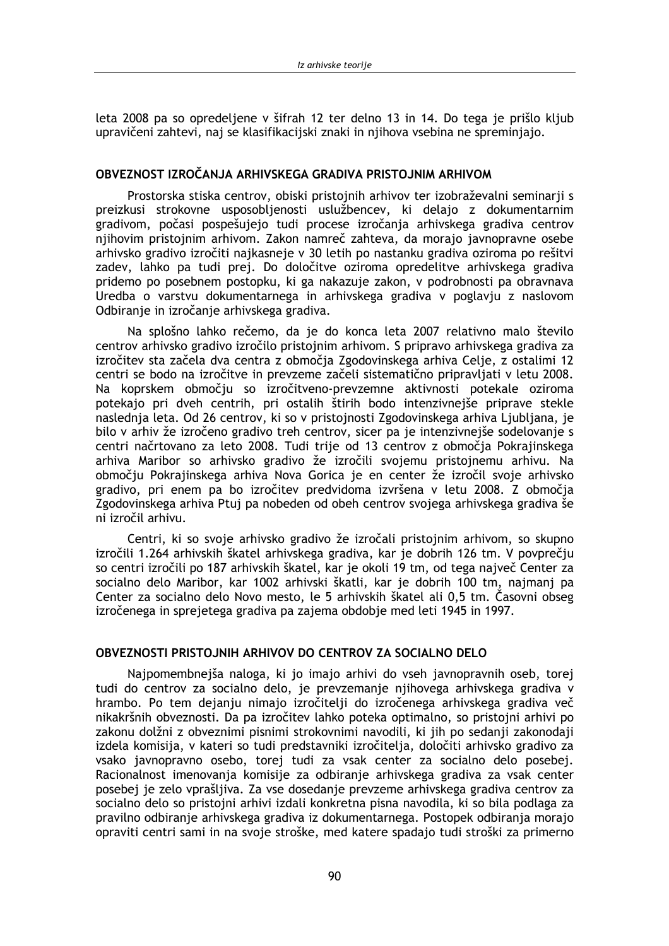leta 2008 pa so opredeljene v šifrah 12 ter delno 13 in 14. Do tega je prišlo kljub upravičeni zahtevi, naj se klasifikacijski znaki in nijhova vsebina ne spreminiajo.

# OBVEZNOST IZROČANJA ARHIVSKEGA GRADIVA PRISTOJNIM ARHIVOM

Prostorska stiska centrov, obiski pristojnih arhivov ter izobraževalni seminarji s preizkusi strokovne usposobljenosti uslužbencev, ki delajo z dokumentarnim gradivom, počasi pospešujejo tudi procese izročanja arhivskega gradiva centrov njihovim pristojnim arhivom. Zakon namreč zahteva, da morajo javnopravne osebe arhivsko gradivo izročiti najkasneje v 30 letih po nastanku gradiva oziroma po rešitvi zadev, lahko pa tudi prej. Do določitve oziroma opredelitve arhivskega gradiva pridemo po posebnem postopku, ki ga nakazuje zakon, v podrobnosti pa obravnava Uredba o varstvu dokumentarnega in arhivskega gradiva v poglavju z naslovom Odbiranje in izročanje arhivskega gradiva.

Na splošno lahko rečemo, da je do konca leta 2007 relativno malo število centrov arhivsko gradivo izročilo pristojnim arhivom. S pripravo arhivskega gradiva za izročitev sta začela dva centra z območja Zgodovinskega arhiva Celje, z ostalimi 12 centri se bodo na izročitve in prevzeme začeli sistematično pripravljati v letu 2008. Na koprskem območju so izročitveno-prevzemne aktivnosti potekale oziroma potekajo pri dveh centrih, pri ostalih štirih bodo intenzivneiše priprave stekle naslednja leta. Od 26 centrov, ki so v pristojnosti Zgodovinskega arhiva Ljubljana, je bilo v arhiv že izročeno gradivo treh centrov, sicer pa je intenzivnejše sodelovanje s centri načrtovano za leto 2008. Tudi trije od 13 centrov z območja Pokrajinskega arhiva Maribor so arhivsko gradivo že izročili svojemu pristojnemu arhivu. Na območju Pokrajinskega arhiva Nova Gorica je en center že izročil svoje arhivsko gradivo, pri enem pa bo izročitev predvidoma izvršena v letu 2008. Z območia Zgodovinskega arhiva Ptuj pa nobeden od obeh centrov svojega arhivskega gradiva še ni izročil arhivu.

Centri, ki so svoje arhivsko gradivo že izročali pristojnim arhivom, so skupno izročili 1.264 arhivskih škatel arhivskega gradiva, kar je dobrih 126 tm. V povprečju so centri izročili po 187 arhivskih škatel, kar je okoli 19 tm, od tega največ Center za socialno delo Maribor, kar 1002 arhivski škatli, kar je dobrih 100 tm, najmanj pa Center za socialno delo Novo mesto, le 5 arhivskih škatel ali 0.5 tm. Časovni obseg izročenega in sprejetega gradiva pa zajema obdobie med leti 1945 in 1997.

## **OBVEZNOSTI PRISTOJNIH ARHIVOV DO CENTROV ZA SOCIALNO DELO**

Najpomembnejša naloga, ki jo imajo arhivi do vseh javnopravnih oseb, torej tudi do centrov za socialno delo, je prevzemanje njihovega arhivskega gradiva v hrambo. Po tem dejanju nimajo izročitelji do izročenega arhivskega gradiva več nikakršnih obveznosti. Da pa izročitev lahko poteka optimalno, so pristojni arhivi po zakonu dolžni z obveznimi pisnimi strokovnimi navodili, ki jih po sedanji zakonodaji izdela komisija, v kateri so tudi predstavniki izročitelja, določiti arhivsko gradivo za vsako javnopravno osebo, torej tudi za vsak center za socialno delo posebej. Racionalnost imenovanja komisije za odbiranje arhivskega gradiva za vsak center posebej je zelo vprašljiva. Za vse dosedanje prevzeme arhivskega gradiva centrov za socialno delo so pristojni arhivi izdali konkretna pisna navodila, ki so bila podlaga za pravilno odbiranje arhivskega gradiva iz dokumentarnega. Postopek odbiranja morajo opraviti centri sami in na svoje stroške, med katere spadajo tudi stroški za primerno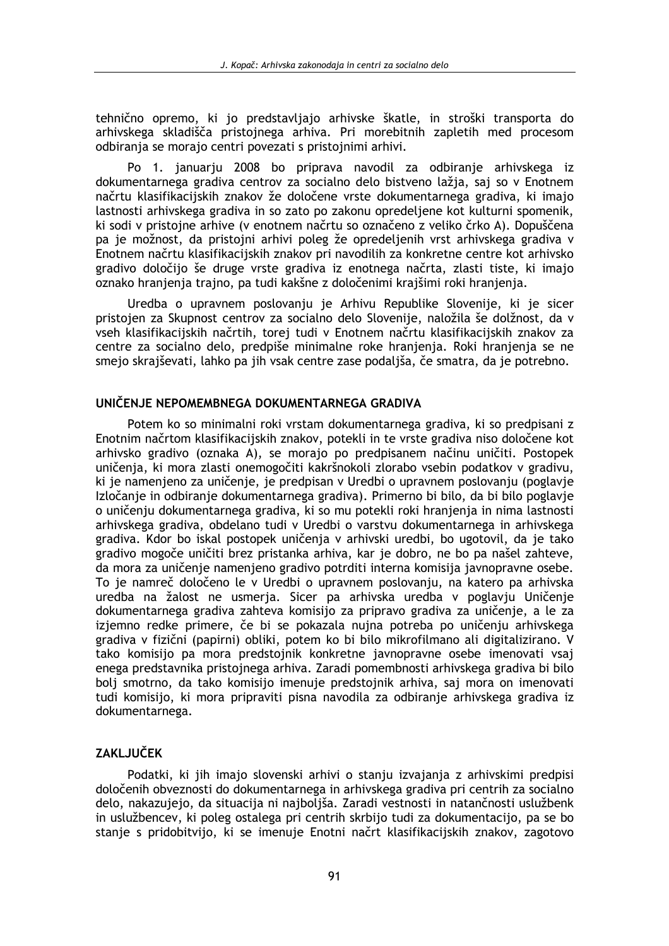tehnično opremo, ki jo predstavljajo arhivske škatle, in stroški transporta do arhivskega skladišča pristojnega arhiva. Pri morebitnih zapletih med procesom odbirania se morajo centri povezati s pristojnimi arhivi.

Po 1. januarju 2008 bo priprava navodil za odbiranje arhivskega iz dokumentarnega gradiva centrov za socialno delo bistveno lažia, saj so v Enotnem načrtu klasifikacijskih znakov že določene vrste dokumentarnega gradiva, ki imajo lastnosti arhivskega gradiva in so zato po zakonu opredeljene kot kulturni spomenik, ki sodi v pristojne arhive (v enotnem načrtu so označeno z veliko črko A). Dopuščena pa je možnost, da pristojni arhivi poleg že opredeljenih vrst arhivskega gradiva v Enotnem načrtu klasifikacijskih znakov pri navodilih za konkretne centre kot arhivsko gradivo določijo še druge vrste gradiva iz enotnega načrta, zlasti tiste, ki imajo oznako hranjenja trajno, pa tudi kakšne z določenimi krajšimi roki hranjenja.

Uredba o upravnem poslovanju je Arhivu Republike Slovenije, ki je sicer pristojen za Skupnost centrov za socialno delo Slovenije, naložila še dolžnost, da v vseh klasifikacijskih načrtih, torej tudi v Enotnem načrtu klasifikacijskih znakov za centre za socialno delo, predpiše minimalne roke hranjenja. Roki hranjenja se ne smejo skrajševati, lahko pa jih vsak centre zase podaljša, če smatra, da je potrebno.

### UNIČENJE NEPOMEMBNEGA DOKUMENTARNEGA GRADIVA

Potem ko so minimalni roki vrstam dokumentarnega gradiva, ki so predpisani z Enotnim načrtom klasifikacijskih znakov, potekli in te vrste gradiva niso določene kot arhivsko gradivo (oznaka A), se morajo po predpisanem načinu uničiti. Postopek uničenja, ki mora zlasti onemogočiti kakršnokoli zlorabo vsebin podatkov v gradivu, ki je namenjeno za uničenje, je predpisan v Uredbi o upravnem poslovanju (poglavje Izločanje in odbiranje dokumentarnega gradiva). Primerno bi bilo, da bi bilo poglavje o uničenju dokumentarnega gradiva, ki so mu potekli roki hranjenja in nima lastnosti arhivskega gradiva, obdelano tudi v Uredbi o varstvu dokumentarnega in arhivskega gradiva. Kdor bo iskal postopek uničenia v arhivski uredbi, bo ugotovil, da je tako gradivo mogoče uničiti brez pristanka arhiva, kar je dobro, ne bo pa našel zahteve, da mora za uničenie namenieno gradivo potrditi interna komisija javnopravne osebe. To je namreč določeno le v Uredbi o upravnem poslovanju, na katero pa arhivska uredba na žalost ne usmeria. Sicer pa arhivska uredba v poglaviu Uničenie dokumentarnega gradiva zahteva komisijo za pripravo gradiva za uničenie, a le za izjemno redke primere, če bi se pokazala nujna potreba po uničenju arhivskega gradiva v fizični (papirni) obliki, potem ko bi bilo mikrofilmano ali digitalizirano. V tako komisijo pa mora predstojnik konkretne javnopravne osebe imenovati vsaj enega predstavnika pristojnega arhiva. Zaradi pomembnosti arhivskega gradiva bi bilo bolj smotrno, da tako komisijo imenuje predstojnik arhiva, saj mora on imenovati tudi komisijo, ki mora pripraviti pisna navodila za odbiranje arhivskega gradiva iz dokumentarnega.

# **ZAKLJUČEK**

Podatki, ki jih imajo slovenski arhivi o stanju izvajanja z arhivskimi predpisi določenih obveznosti do dokumentarnega in arhivskega gradiva pri centrih za socialno delo, nakazujejo, da situacija ni najboljša. Zaradi vestnosti in natančnosti uslužbenk in uslužbencev, ki poleg ostalega pri centrih skrbijo tudi za dokumentacijo, pa se bo stanje s pridobitvijo, ki se imenuje Enotni načrt klasifikacijskih znakov, zagotovo